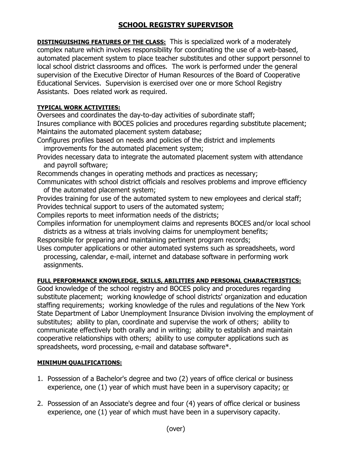## **SCHOOL REGISTRY SUPERVISOR**

**DISTINGUISHING FEATURES OF THE CLASS:** This is specialized work of a moderately complex nature which involves responsibility for coordinating the use of a web-based, automated placement system to place teacher substitutes and other support personnel to local school district classrooms and offices. The work is performed under the general supervision of the Executive Director of Human Resources of the Board of Cooperative Educational Services. Supervision is exercised over one or more School Registry Assistants. Does related work as required.

## **TYPICAL WORK ACTIVITIES:**

Oversees and coordinates the day-to-day activities of subordinate staff; Insures compliance with BOCES policies and procedures regarding substitute placement;

Maintains the automated placement system database;

Configures profiles based on needs and policies of the district and implements improvements for the automated placement system;

Provides necessary data to integrate the automated placement system with attendance and payroll software;

Recommends changes in operating methods and practices as necessary;

Communicates with school district officials and resolves problems and improve efficiency of the automated placement system;

Provides training for use of the automated system to new employees and clerical staff; Provides technical support to users of the automated system;

Compiles reports to meet information needs of the districts;

Compiles information for unemployment claims and represents BOCES and/or local school districts as a witness at trials involving claims for unemployment benefits;

Responsible for preparing and maintaining pertinent program records;

Uses computer applications or other automated systems such as spreadsheets, word processing, calendar, e-mail, internet and database software in performing work assignments.

## **FULL PERFORMANCE KNOWLEDGE, SKILLS, ABILITIES AND PERSONAL CHARACTERISTICS:**

Good knowledge of the school registry and BOCES policy and procedures regarding substitute placement; working knowledge of school districts' organization and education staffing requirements; working knowledge of the rules and regulations of the New York State Department of Labor Unemployment Insurance Division involving the employment of substitutes; ability to plan, coordinate and supervise the work of others; ability to communicate effectively both orally and in writing; ability to establish and maintain cooperative relationships with others; ability to use computer applications such as spreadsheets, word processing, e-mail and database software\*.

## **MINIMUM QUALIFICATIONS:**

- 1. Possession of a Bachelor's degree and two (2) years of office clerical or business experience, one (1) year of which must have been in a supervisory capacity; or
- 2. Possession of an Associate's degree and four (4) years of office clerical or business experience, one (1) year of which must have been in a supervisory capacity.